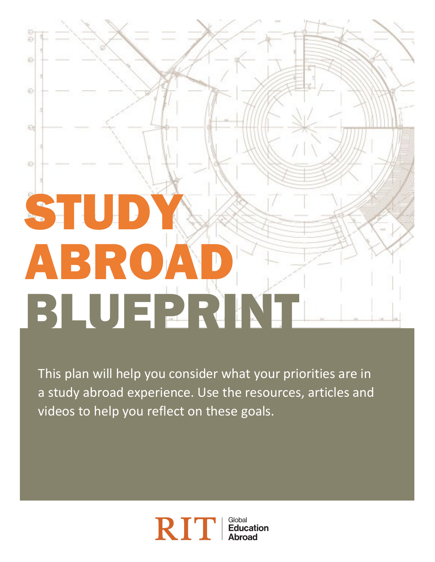# Ō. Đ. STU ABROA BLUEPRINT

à

ø

0

This plan will help you consider what your priorities are in a study abroad experience. Use the resources, articles and videos to help you reflect on these goals.

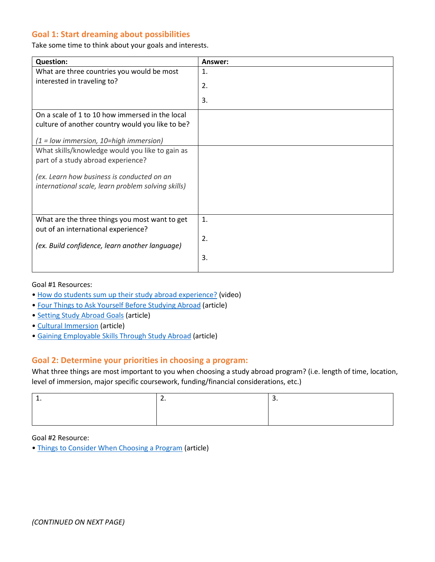## **Goal 1: Start dreaming about possibilities**

Take some time to think about your goals and interests.

| <b>Question:</b>                                   | Answer:          |
|----------------------------------------------------|------------------|
| What are three countries you would be most         | 1.               |
| interested in traveling to?                        | 2.               |
|                                                    | 3.               |
| On a scale of 1 to 10 how immersed in the local    |                  |
| culture of another country would you like to be?   |                  |
|                                                    |                  |
| $(1 = low$ immersion, 10=high immersion)           |                  |
| What skills/knowledge would you like to gain as    |                  |
| part of a study abroad experience?                 |                  |
|                                                    |                  |
| (ex. Learn how business is conducted on an         |                  |
| international scale, learn problem solving skills) |                  |
|                                                    |                  |
|                                                    |                  |
| What are the three things you most want to get     | 1.               |
| out of an international experience?                |                  |
|                                                    | $\overline{2}$ . |
| (ex. Build confidence, learn another language)     |                  |
|                                                    | 3.               |
|                                                    |                  |

Goal #1 Resources:

- [How do students sum up their study abroad experience?](https://www.youtube.com/watch?v=1Ai1KB8XSUU) (video)
- [Four Things to Ask Yourself Before Studying Abroad](https://www.diversityabroad.com/articles/four-things-you-should-ask-yourself-studying-abroad) (article)
- [Setting Study Abroad Goals](https://www.goabroad.com/articles/study-abroad/study-abroad-goals) (article)
- [Cultural Immersion](http://thestudyabroadblog.com/cultural-immersion/) (article)
- [Gaining Employable Skills Through Study Abroad](https://www.studyinternational.com/help-and-advice/10-reasons-employers-love-graduates-who-have-studied-abroad) (article)

#### **Goal 2: Determine your priorities in choosing a program:**

What three things are most important to you when choosing a study abroad program? (i.e. length of time, location, level of immersion, major specific coursework, funding/financial considerations, etc.)

| . . | . . |  |
|-----|-----|--|
|     |     |  |
|     |     |  |

#### Goal #2 Resource:

• [Things to Consider When Choosing a Program](https://www.diversityabroad.com/articles/things-consider-when-picking-your-program) (article)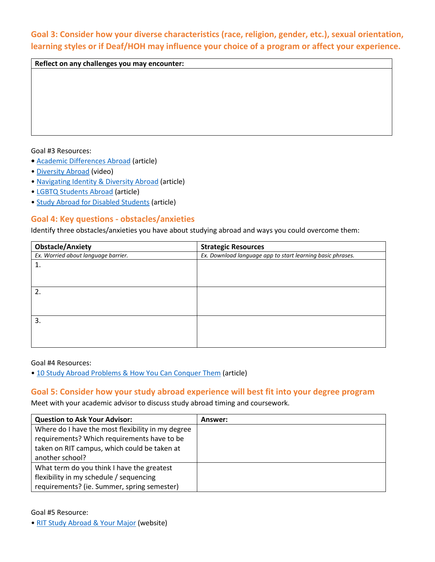**Goal 3: Consider how your diverse characteristics (race, religion, gender, etc.), sexual orientation, learning styles or if Deaf/HOH may influence your choice of a program or affect your experience.**

**Reflect on any challenges you may encounter:**

#### Goal #3 Resources:

- [Academic Differences Abroad](https://www.cisabroad.com/blog/study-abroad-tips-academics-classes-to-take-abroad/) (article)
- [Diversity Abroad](https://www.youtube.com/watch?time_continue=149&v=_5Nd0jfHEP8&feature=emb_logo) (video)
- [Navigating Identity & Diversity Abroad](https://www.iesabroad.org/student-diversity-access/navigating-identity-diversity-abroad) (article)
- [LGBTQ Students Abroad](https://www.studyabroad.com/resources/lgbt-students-and-study-abroad) (article)
- [Study Abroad for Disabled Students](https://www.seattleglobalist.com/2014/03/21/12-study-abroad-resources-for-students-with-disabilities/21846) (article)

### **Goal 4: Key questions - obstacles/anxieties**

Identify three obstacles/anxieties you have about studying abroad and ways you could overcome them:

| <b>Obstacle/Anxiety</b>             | <b>Strategic Resources</b>                                 |
|-------------------------------------|------------------------------------------------------------|
| Ex. Worried about language barrier. | Ex. Download language app to start learning basic phrases. |
| 1.                                  |                                                            |
|                                     |                                                            |
|                                     |                                                            |
| $\overline{2}$                      |                                                            |
|                                     |                                                            |
|                                     |                                                            |
| 3.                                  |                                                            |
|                                     |                                                            |
|                                     |                                                            |
|                                     |                                                            |

Goal #4 Resources:

[• 10 Study Abroad Problems & How You Can Conquer Them](https://www.studyinternational.com/news/10-study-abroad-problems-you-will-face-and-conquer/) (article)

#### **Goal 5: Consider how your study abroad experience will best fit into your degree program**

Meet with your academic advisor to discuss study abroad timing and coursework.

| <b>Question to Ask Your Advisor:</b>              | Answer: |
|---------------------------------------------------|---------|
| Where do I have the most flexibility in my degree |         |
| requirements? Which requirements have to be       |         |
| taken on RIT campus, which could be taken at      |         |
| another school?                                   |         |
| What term do you think I have the greatest        |         |
| flexibility in my schedule / sequencing           |         |
| requirements? (ie. Summer, spring semester)       |         |

Goal #5 Resource:

[• RIT Study Abroad & Your Major](https://www.rit.edu/academicaffairs/global/study-abroad-your-major) (website)